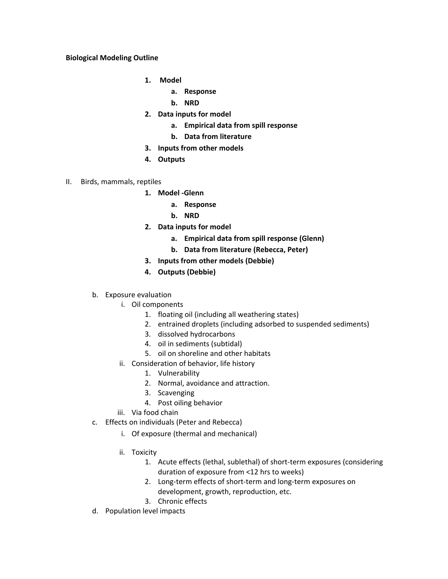## **Biological Modeling Outline**

- **1. Model** 
	- **a. Response**
	- **b. NRD**
- **2. Data inputs for model**
	- **a. Empirical data from spill response**
	- **b. Data from literature**
- **3. Inputs from other models**
- **4. Outputs**
- II. Birds, mammals, reptiles
	- **1. Model ‐Glenn**
		- **a. Response**
		- **b. NRD**
	- **2. Data inputs for model** 
		- **a. Empirical data from spill response (Glenn)**
		- **b. Data from literature (Rebecca, Peter)**
	- **3. Inputs from other models (Debbie)**
	- **4. Outputs (Debbie)**
	- b. Exposure evaluation
		- i. Oil components
			- 1. floating oil (including all weathering states)
			- 2. entrained droplets (including adsorbed to suspended sediments)
			- 3. dissolved hydrocarbons
			- 4. oil in sediments (subtidal)
			- 5. oil on shoreline and other habitats
		- ii. Consideration of behavior, life history
			- 1. Vulnerability
			- 2. Normal, avoidance and attraction.
			- 3. Scavenging
			- 4. Post oiling behavior
		- iii. Via food chain
	- c. Effects on individuals (Peter and Rebecca)
		- i. Of exposure (thermal and mechanical)
		- ii. Toxicity
			- 1. Acute effects (lethal, sublethal) of short‐term exposures (considering duration of exposure from <12 hrs to weeks)
			- 2. Long-term effects of short-term and long-term exposures on development, growth, reproduction, etc.
			- 3. Chronic effects
	- d. Population level impacts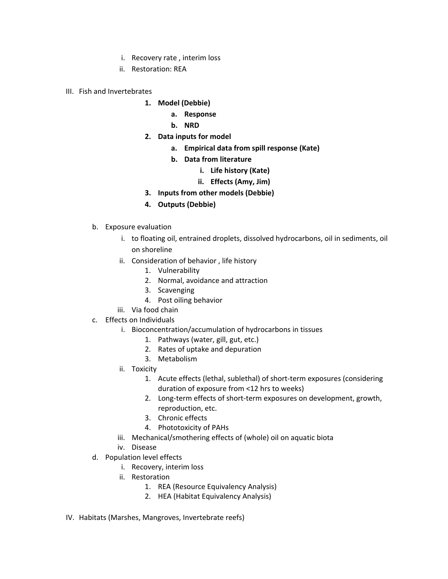- i. Recovery rate , interim loss
- ii. Restoration: REA
- III. Fish and Invertebrates
	- **1. Model (Debbie)**
		- **a. Response**
		- **b. NRD**
	- **2. Data inputs for model**
		- **a. Empirical data from spill response (Kate)**
		- **b. Data from literature** 
			- **i. Life history (Kate)**
			- **ii. Effects (Amy, Jim)**
	- **3. Inputs from other models (Debbie)**
	- **4. Outputs (Debbie)**
	- b. Exposure evaluation
		- i. to floating oil, entrained droplets, dissolved hydrocarbons, oil in sediments, oil on shoreline
		- ii. Consideration of behavior , life history
			- 1. Vulnerability
			- 2. Normal, avoidance and attraction
			- 3. Scavenging
			- 4. Post oiling behavior
		- iii. Via food chain
	- c. Effects on Individuals
		- i. Bioconcentration/accumulation of hydrocarbons in tissues
			- 1. Pathways (water, gill, gut, etc.)
			- 2. Rates of uptake and depuration
			- 3. Metabolism
		- ii. Toxicity
			- 1. Acute effects (lethal, sublethal) of short‐term exposures (considering duration of exposure from <12 hrs to weeks)
			- 2. Long‐term effects of short‐term exposures on development, growth, reproduction, etc.
			- 3. Chronic effects
			- 4. Phototoxicity of PAHs
		- iii. Mechanical/smothering effects of (whole) oil on aquatic biota
		- iv. Disease
	- d. Population level effects
		- i. Recovery, interim loss
		- ii. Restoration
			- 1. REA (Resource Equivalency Analysis)
			- 2. HEA (Habitat Equivalency Analysis)
- IV. Habitats (Marshes, Mangroves, Invertebrate reefs)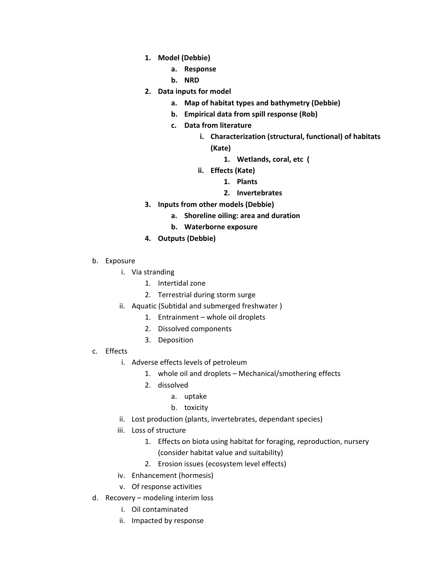- **1. Model (Debbie)**
	- **a. Response**
	- **b. NRD**
- **2. Data inputs for model**
	- **a. Map of habitat types and bathymetry (Debbie)**
	- **b. Empirical data from spill response (Rob)**
	- **c. Data from literature** 
		- **i. Characterization (structural, functional) of habitats**
			- **(Kate)**
				- **1. Wetlands, coral, etc (**
		- **ii. Effects (Kate)**
			- **1. Plants**
			- **2. Invertebrates**
- **3. Inputs from other models (Debbie)**
	- **a. Shoreline oiling: area and duration**
	- **b. Waterborne exposure**
- **4. Outputs (Debbie)**
- b. Exposure
	- i. Via stranding
		- 1. Intertidal zone
		- 2. Terrestrial during storm surge
	- ii. Aquatic (Subtidal and submerged freshwater )
		- 1. Entrainment whole oil droplets
		- 2. Dissolved components
		- 3. Deposition
- c. Effects
	- i. Adverse effects levels of petroleum
		- 1. whole oil and droplets Mechanical/smothering effects
		- 2. dissolved
			- a. uptake
			- b. toxicity
	- ii. Lost production (plants, invertebrates, dependant species)
	- iii. Loss of structure
		- 1. Effects on biota using habitat for foraging, reproduction, nursery (consider habitat value and suitability)
		- 2. Erosion issues (ecosystem level effects)
	- iv. Enhancement (hormesis)
	- v. Of response activities
- d. Recovery modeling interim loss
	- i. Oil contaminated
	- ii. Impacted by response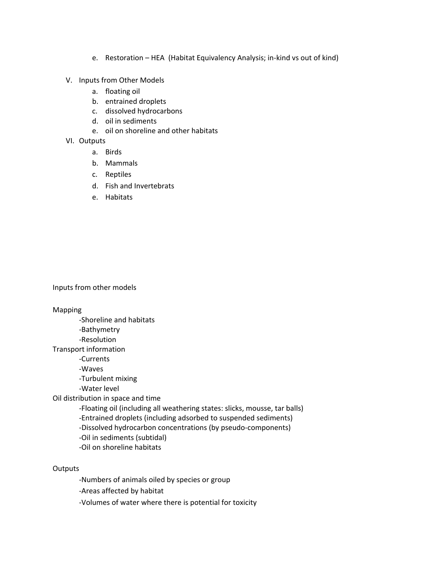- e. Restoration HEA (Habitat Equivalency Analysis; in‐kind vs out of kind)
- V. Inputs from Other Models
	- a. floating oil
	- b. entrained droplets
	- c. dissolved hydrocarbons
	- d. oil in sediments
	- e. oil on shoreline and other habitats
- VI. Outputs
	- a. Birds
	- b. Mammals
	- c. Reptiles
	- d. Fish and Invertebrats
	- e. Habitats

Inputs from other models

Mapping

 ‐Shoreline and habitats ‐Bathymetry ‐Resolution Transport information ‐Currents ‐Waves ‐Turbulent mixing ‐Water level Oil distribution in space and time ‐Floating oil (including all weathering states: slicks, mousse, tar balls) ‐Entrained droplets (including adsorbed to suspended sediments) ‐Dissolved hydrocarbon concentrations (by pseudo‐components) ‐Oil in sediments (subtidal) ‐Oil on shoreline habitats

**Outputs** 

‐Numbers of animals oiled by species or group

‐Areas affected by habitat

‐Volumes of water where there is potential for toxicity